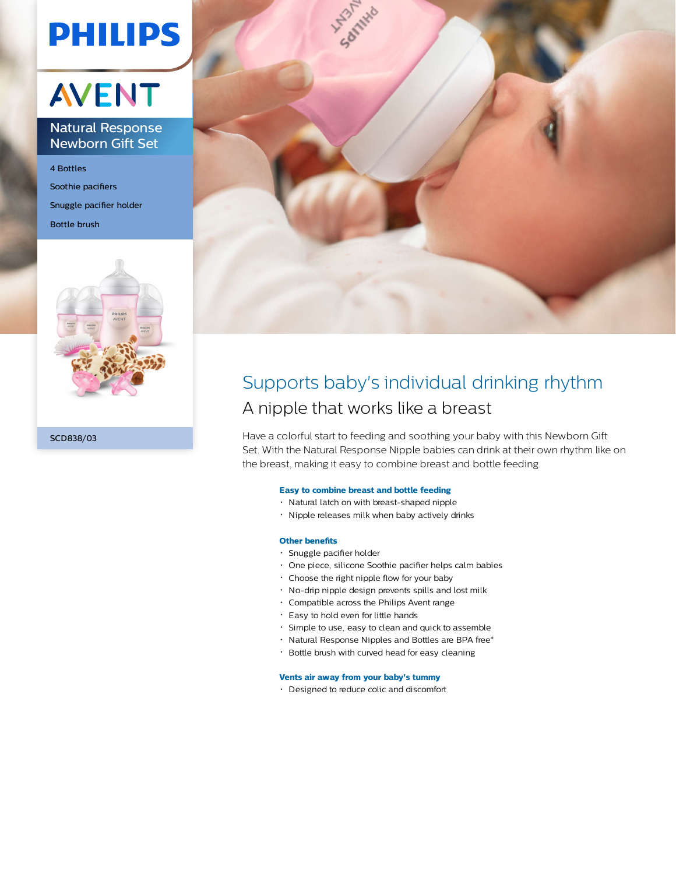# **PHILIPS**

## **AVENT**

### Natural Response Newborn Gift Set

4 Bottles Soothie pacifiers Snuggle pacifier holder Bottle brush





### Supports baby's individual drinking rhythm A nipple that works like a breast

Have a colorful start to feeding and soothing your baby with this Newborn Gift Set. With the Natural Response Nipple babies can drink at their own rhythm like on the breast, making it easy to combine breast and bottle feeding.

#### **Easy to combine breast and bottle feeding**

- Natural latch on with breast-shaped nipple
- Nipple releases milk when baby actively drinks

#### **Other benefits**

- Snuggle pacifier holder
- One piece, silicone Soothie pacifier helps calm babies
- Choose the right nipple flow for your baby
- No-drip nipple design prevents spills and lost milk
- Compatible across the Philips Avent range
- Easy to hold even for little hands
- Simple to use, easy to clean and quick to assemble
- Natural Response Nipples and Bottles are BPA free\*
- Bottle brush with curved head for easy cleaning

#### **Vents air away from your baby's tummy**

Designed to reduce colic and discomfort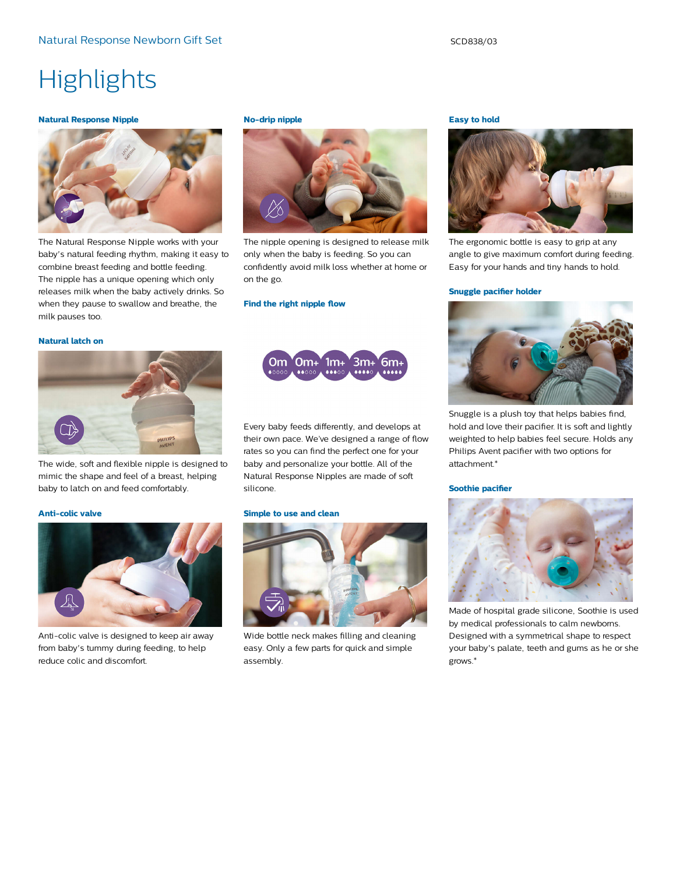## **Highlights**

#### **Natural Response Nipple**



The Natural Response Nipple works with your baby's natural feeding rhythm, making it easy to combine breast feeding and bottle feeding. The nipple has a unique opening which only releases milk when the baby actively drinks. So when they pause to swallow and breathe, the milk pauses too.

#### **No-drip nipple**



The nipple opening is designed to release milk only when the baby is feeding. So you can confidently avoid milk loss whether at home or on the go.

#### **Find the right nipple flow**

#### **Natural latch on**



The wide, soft and flexible nipple is designed to mimic the shape and feel of a breast, helping baby to latch on and feed comfortably.

#### **Anti-colic valve**



Anti-colic valve is designed to keep air away from baby's tummy during feeding, to help reduce colic and discomfort.



Every baby feeds differently, and develops at their own pace. We've designed a range of flow rates so you can find the perfect one for your baby and personalize your bottle. All of the Natural Response Nipples are made of soft silicone.

#### **Simple to use and clean**



Wide bottle neck makes filling and cleaning easy. Only a few parts for quick and simple assembly.

#### **Easy to hold**



The ergonomic bottle is easy to grip at any angle to give maximum comfort during feeding. Easy for your hands and tiny hands to hold.

#### **Snuggle pacifier holder**



Snuggle is a plush toy that helps babies find, hold and love their pacifier. It is soft and lightly weighted to help babies feel secure. Holds any Philips Avent pacifier with two options for attachment.\*

#### **Soothie pacifier**



Made of hospital grade silicone, Soothie is used by medical professionals to calm newborns. Designed with a symmetrical shape to respect your baby's palate, teeth and gums as he or she grows.\*